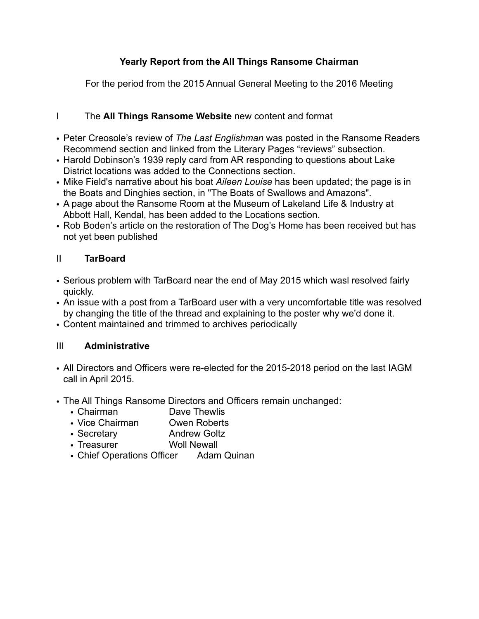# **Yearly Report from the All Things Ransome Chairman**

For the period from the 2015 Annual General Meeting to the 2016 Meeting

## I The **All Things Ransome Website** new content and format

- Peter Creosole's review of *The Last Englishman* was posted in the Ransome Readers Recommend section and linked from the Literary Pages "reviews" subsection.
- Harold Dobinson's 1939 reply card from AR responding to questions about Lake District locations was added to the Connections section.
- Mike Field's narrative about his boat *Aileen Louise* has been updated; the page is in the Boats and Dinghies section, in "The Boats of Swallows and Amazons".
- A page about the Ransome Room at the Museum of Lakeland Life & Industry at Abbott Hall, Kendal, has been added to the Locations section.
- Rob Boden's article on the restoration of The Dog's Home has been received but has not yet been published

## II **TarBoard**

- Serious problem with TarBoard near the end of May 2015 which wasl resolved fairly quickly.
- An issue with a post from a TarBoard user with a very uncomfortable title was resolved by changing the title of the thread and explaining to the poster why we'd done it.
- Content maintained and trimmed to archives periodically

### III **Administrative**

- All Directors and Officers were re-elected for the 2015-2018 period on the last IAGM call in April 2015.
- The All Things Ransome Directors and Officers remain unchanged:
	- Chairman Dave Thewlis
	- Vice Chairman Owen Roberts
	- Secretary **Andrew Goltz**
	- Treasurer Woll Newall
	- Chief Operations Officer Adam Quinan